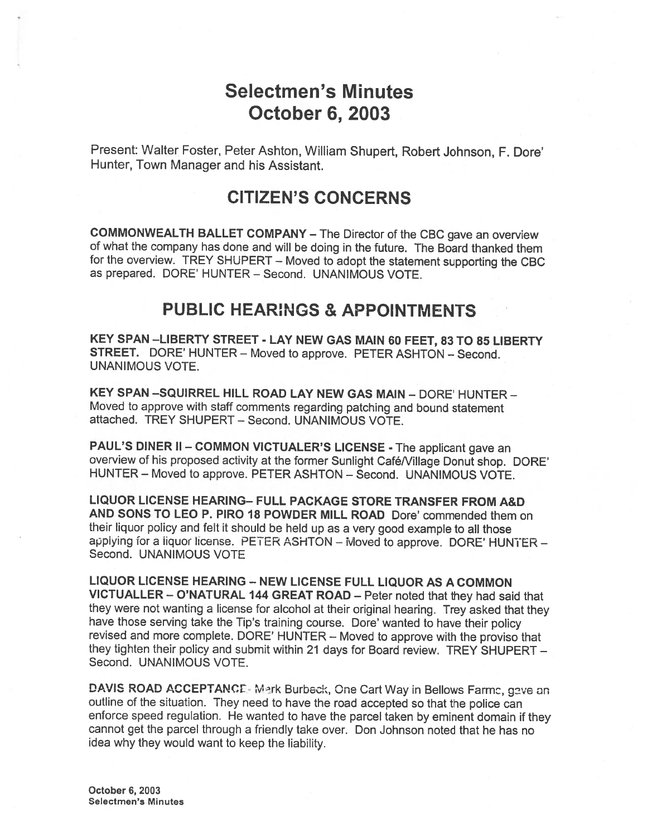# Selectmen's Minutes October 6, 2003

Present: Walter Foster, Peter Ashton, William Shupert, Robert Johnson, F. Dote' Hunter, Town Manager and his Assistant.

## CITIZEN'S CONCERNS

COMMONWEALTH BALLET COMPANY — The Director of the CBC gave an overview of what the company has done and will be doing in the future. The Board thanked them for the overview. TREY SHUPERT — Moved to adopt the statement supporting the CBC as prepared. DORE' HUNTER — Second. UNANIMOUS VOTE.

# PUBLIC HEAR:NGS & APPOINTMENTS

KEY SPAN -LIBERTY STREET - LAY NEW GAS MAIN 60 FEET, 83 TO 85 LIBERTY STREET. DORE' HUNTER — Moved to approve. PETER ASHTON — Second. UNANIMOUS VOTE.

KEY SPAN-SQUIRREL HILL ROAD LAY NEW GAS MAIN - DORE' HUNTER -Moved to approve with staff comments regarding patching and bound statement attached. TREY SHUPERT — Second. UNANIMOUS VOTE.

PAUL'S DINER II - COMMON VICTUALER'S LICENSE - The applicant gave an overview of his proposed activity at the former Sunlight Café/Village Donut shop. DORE' HUNTER — Moved to approve. PETER ASHTON — Second. UNANIMOUS VOTE.

LIQUOR LICENSE HEARING- FULL PACKAGE STORE TRANSFER FROM A&D AND SONS TO LEO P. PIRO 18 POWDER MILL ROAD Dore' commended them on their liquor policy and felt it should be held up as <sup>a</sup> very good example to all those appiying for <sup>a</sup> liquor license. PETER ASHTON — Moved to approve. DORE' HUNTER — Second. UNANIMOUS VOTE

LIQUOR LICENSE HEARING — NEW LICENSE FULL LIQUOR AS <sup>A</sup> COMMON VICTUALLER — O'NATURAL <sup>144</sup> GREAT ROAD — Peter noted that they had said that they were not wanting <sup>a</sup> license for alcohol at their original hearing. Trey asked that they have those serving take the Tip's training course. Dore' wanted to have their policy revised and more complete. DORE' HUNTER - Moved to approve with the proviso that they tighten their policy and submit within <sup>21</sup> days for Board review. TREY SHUPERT — Second. UNANIMOUS VOTE.

DAVIS ROAD ACCEPTANCE. Mark Burbeck, One Cart Way in Bellows Farmc, gave an outline of the situation. They need to have the road accepted so that the police can enforce speed regulation. He wanted to have the parcel taken by eminent domain if they cannot get the parcel through <sup>a</sup> friendly take over. Don Johnson noted that he has no idea why they would want to keep the liability.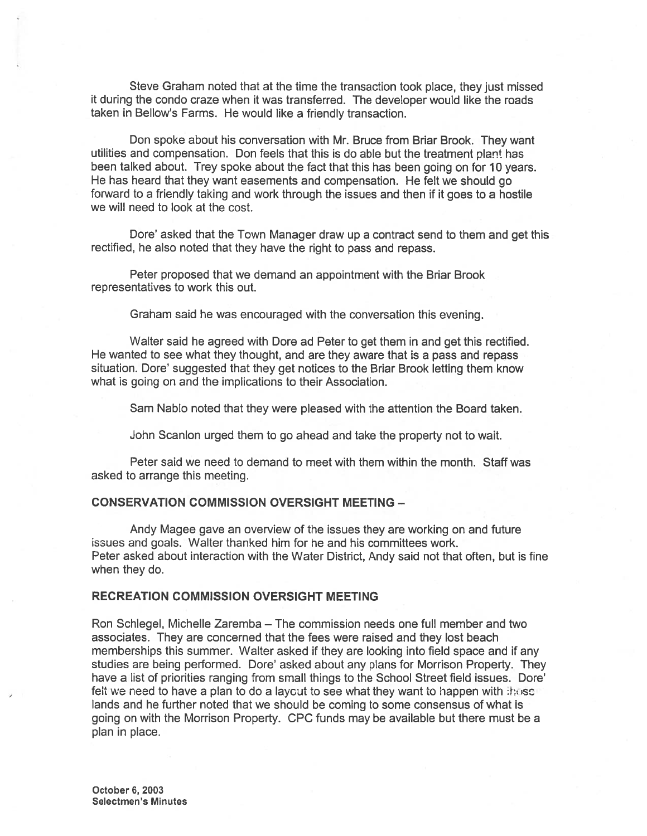Steve Graham noted that at the time the transaction took place, they just missed it during the condo craze when it was transferred. The developer would like the roads taken in Bellow's Farms. He would like <sup>a</sup> friendly transaction.

Don spoke about his conversation with Mr. Bruce from Briar Brook. They want utilities and compensation. Don feels that this is do able but the treatment <sup>p</sup>lant has been talked about. Trey spoke about the fact that this has been going on for JO years. He has heard that they want easements and compensation. He felt we should go forward to <sup>a</sup> friendly taking and work through the issues and then if it goes to <sup>a</sup> hostile we will need to look at the cost.

Dore' asked that the Town Manager draw up <sup>a</sup> contract send to them and ge<sup>t</sup> this rectified, he also noted that they have the right to pass and repass.

Peter proposed that we demand an appointment with the Briar Brook representatives to work this out.

Graham said he was encouraged with the conversation this evening.

Walter said he agreed with Dore ad Peter to get them in and get this rectified. He wanted to see what they thought, and are they aware that is <sup>a</sup> pass and repass situation. Dore' suggested that they get notices to the Briar Brook letting them know what is going on and the implications to their Association.

Sam Nablo noted that they were pleased with the attention the Board taken.

John Scanlon urged them to go ahead and take the property not to wait.

Peter said we need to demand to meet with them within the month. Staff was asked to arrange this meeting.

#### CONSERVATION COMMISSION OVERSIGHT MEETING -

Andy Magee gave an overview of the issues they are working on and future issues and goals. Walter thanked him for he and his committees work. Peter asked about interaction with the Water District, Andy said not that often, but is fine when they do.

#### RECREATION COMMISSION OVERSIGHT MEETING

Ron Schlegel, Michelle Zaremba — The commission needs one full member and two associates. They are concerned that the fees were raised and they lost beach memberships this summer. Walter asked if they are looking into field space and if any studies are being performed. Dore' asked about any plans for Morrison Property. They have <sup>a</sup> list of priorities ranging from small things to the School Street field issues. Dore' felt we need to have a plan to do a layout to see what they want to happen with  $\frac{1}{2}$  is set lands and he further noted that we should be coming to some consensus of what is going on with the Morrison Property. CPC funds may be available but there must be <sup>a</sup> plan in place.

October 6, 2003 Selectmen's Minutes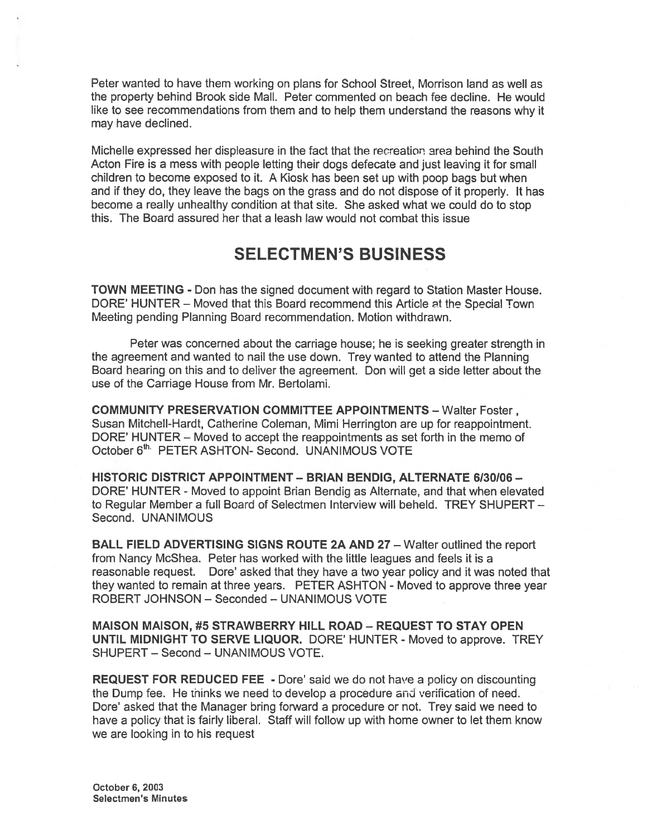Peter wanted to have them working on plans for School Street, Morrison land as well as the property behind Brook side Mall. Peter commented on beach fee decline. He would like to see recommendations from them and to help them understand the reasons why it may have declined.

Michelle expressed her displeasure in the fact that the recreation area behind the South Acton Fire is <sup>a</sup> mess with people letting their dogs defecate and just leaving it for small children to become exposed to it. A Kiosk has been set up with poop bags but when and if they do, they leave the bags on the grass and do not dispose of it properly. It has become <sup>a</sup> really unhealthy condition at that site. She asked what we could do to stop this. The Board assured her that <sup>a</sup> leash law would not combat this issue

## SELECTMEN'S BUSINESS

TOWN MEETING - Don has the signed document with regard to Station Master House. DORE' HUNTER – Moved that this Board recommend this Article at the Special Town Meeting pending Planning Board recommendation. Motion withdrawn.

Peter was concerned about the carriage house; he is seeking greater strength in the agreemen<sup>t</sup> and wanted to nail the use down. Trey wanted to attend the Planning Board hearing on this and to deliver the agreement. Don will ge<sup>t</sup> <sup>a</sup> side letter about the use of the Carriage House from Mr. Bertolami.

COMMUNITY PRESERVATION COMMITTEE APPOINTMENTS — Walter Foster, Susan Mitchell-Hardt, Catherine Coleman, Mimi Herrington are up for reappointment. DORE' HUNTER — Moved to accep<sup>t</sup> the reappointments as set forth in the memo of October 6<sup>th.</sup> PETER ASHTON- Second. UNANIMOUS VOTE

HISTORIC DISTRICT APPOINTMENT — BRIAN BENDIG, ALTERNATE 6130106 — DORE' HUNTER - Moved to appoint Brian Bendig as Alternate, and that when elevated to Regular Member <sup>a</sup> full Board of Selectmen Interview will beheld. TREY SHUPERT — Second. UNANIMOUS

BALL FIELD ADVERTISING SIGNS ROUTE 2A AND 27— Walter outlined the repor<sup>t</sup> from Nancy McShea. Peter has worked with the little leagues and feels it is <sup>a</sup> reasonable request. Dore' asked that they have <sup>a</sup> two year policy and it was noted that they wanted to remain at three years. PETER ASHTON - Moved to approve three year ROBERT JOHNSON — Seconded — UNANIMOUS VOTE

MAISON MAISON, #5 STRAWBERRY HILL ROAD - REQUEST TO STAY OPEN UNTIL MIDNIGHT TO SERVE LIQUOR. DORE' HUNTER - Moved to approve. TREY SHUPERT — Second — UNANIMOUS VOTE.

REQUEST FOR REDUCED FEE - Dore' said we do not have a policy on discounting the Dump fee. He thinks we need to develop <sup>a</sup> procedure and verification of need. Dote' asked that the Manager bring forward <sup>a</sup> procedure or not. Trey said we need to have <sup>a</sup> policy that is fairly liberal. Staff will follow up with home owner to let them know we are looking in to his reques<sup>t</sup>

October 6, 2003 Selectmen's Minutes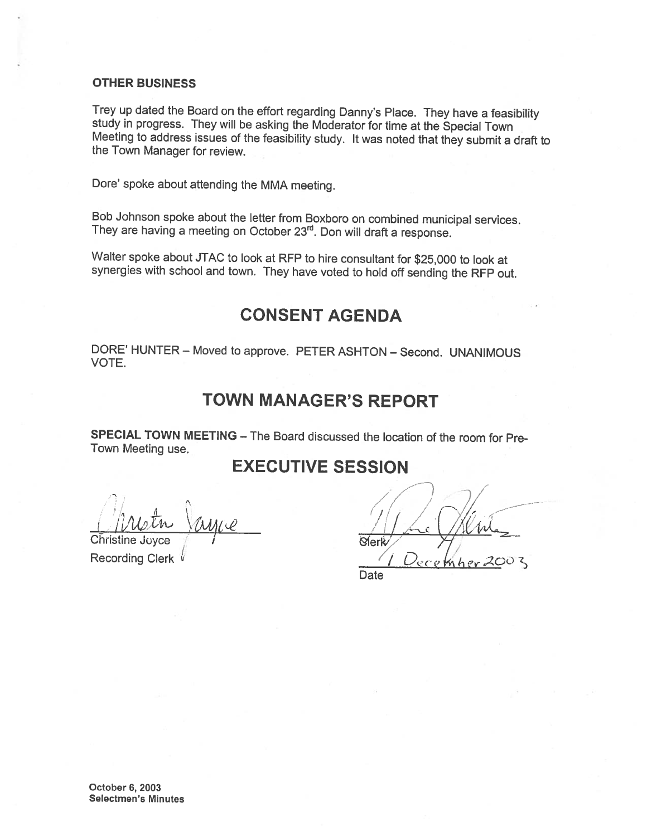### OTHER BUSINESS

Trey up dated the Board on the effort regarding Danny's Place. They have a feasibility study in progress. They will be asking the Moderator for time at the Special Town Meeting to address issues of the feasibility study. I

Dore' spoke about attending the MMA meeting.

Bob Johnson spoke about the letter from Boxboro on combined municipal services.<br>They are having a meeting on October 23<sup>rd</sup>. Don will draft a response.

Walter spoke about JTAC to look at REP to hire consultant for \$25,000 to look at synergies with school and town. They have voted to hold off sending the RFP out.

## CONSENT AGENDA

DORE' HUNTER — Moved to approve. PETER ASHTON — Second. UNANIMOUS VOTE.

# TOWN MANAGER'S REPORT

SPECIAL TOWN MEETING — The Board discussed the location of the room for Pre Town Meeting use.

# EXECUTIVE SESSION

Christine Joyce Recording Clerk

 $\big)$   $\big)$ / 1 Le Ville **Slerk**  $Cehther$  2002

**Date**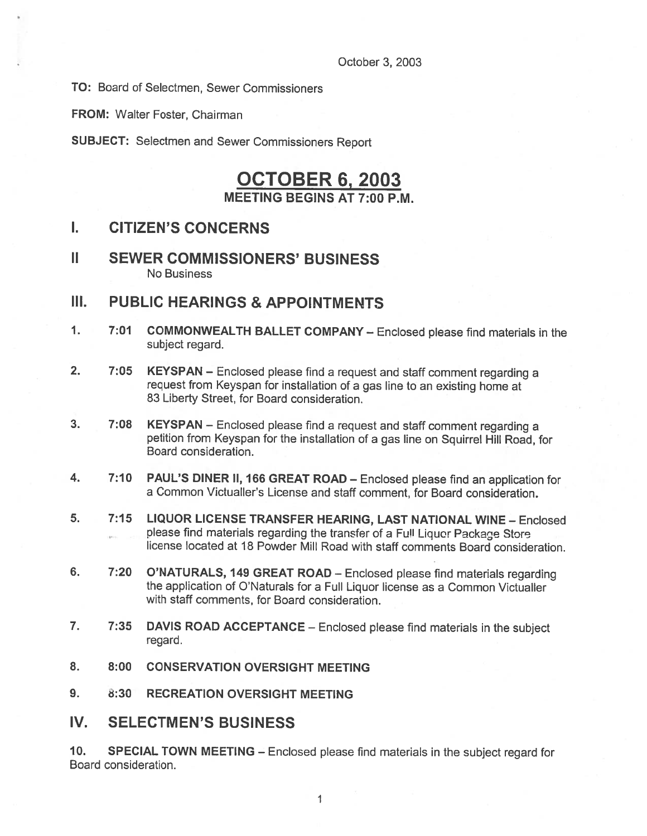TO: Board of Selectmen, Sewer Commissioners

FROM: Walter Foster, Chairman

SUBJECT: Selectmen and Sewer Commissioners Report

## OCTOBER 6, 2003 MEETING BEGINS AT 7:00 P.M.

### I. CITIZEN'S CONCERNS

II SEWER COMMISSIONERS' BUSINESS No Business

### III. PUBLIC HEARINGS & APPOINTMENTS

- 1. 7:01 COMMONWEALTH BALLET COMPANY Enclosed <sup>p</sup>lease find materials in the subject regard.
- 2. 7:05 KEYSPAN Enclosed please find a request and staff comment regarding a request from Keyspan for installation of <sup>a</sup> gas line to an existing home at 83 Liberty Street, for Board consideration.
- 3. 7:08 KEYSPAN Enclosed <sup>p</sup>lease find <sup>a</sup> request and staff comment regarding <sup>a</sup> petition from Keyspan for the installation of <sup>a</sup> gas line on Squirrel Hill Road, for Board consideration.
- 4. 7:10 PAUL'S DINER II, <sup>166</sup> GREAT ROAD Enclosed <sup>p</sup>lease find an application for <sup>a</sup> Common Victualler's License and staff comment, for Board consideration.
- 5. 7:15 LIQUOR LICENSE TRANSFER HEARING, LAST NATIONAL WINE Enclosed please find materials regarding the transfer of a Full Liquor Package Store license located at 18 Powder Mill Road with staff comments Board consideration.
- 6. 7:20 O'NATURALS, <sup>149</sup> GREAT ROAD Enclosed <sup>p</sup>lease find materials regarding the application of O'Naturals for <sup>a</sup> Full Liquor license as <sup>a</sup> Common Victualler with staff comments, for Board consideration.
- 7. 7:35 DAVIS ROAD ACCEPTANCE Enclosed please find materials in the subject regard.
- 8. 8:00 CONSERVATION OVERSIGHT MEETING
- 9. 8:30 RECREATION OVERSIGHT MEETING
- IV. SELECTMEN'S BUSINESS

10. SPECIAL TOWN MEETING — Enclosed <sup>p</sup>lease find materials in the subject regard for Board consideration.

 $\mathbf{1}$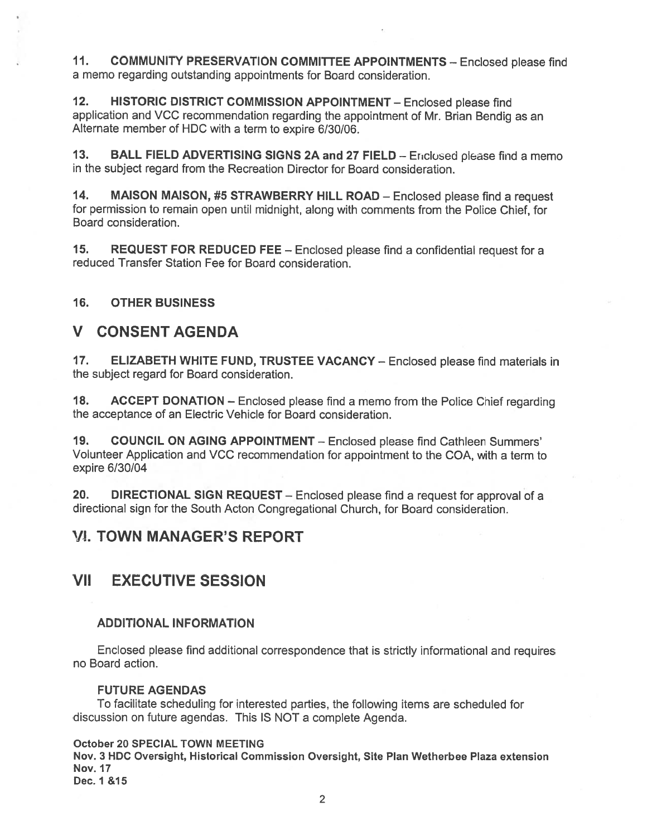11. COMMUNITY PRESERVATION COMMITTEE APPOINTMENTS — Enclosed <sup>p</sup>lease find <sup>a</sup> memo regarding outstanding appointments for Board consideration.

12. HISTORIC DISTRICT COMMISSION APPOINTMENT — Enclosed <sup>p</sup>lease find application and VCC recommendation regarding the appointment of Mr. Brian Bendig as an Alternate member of HDC with <sup>a</sup> term to expire 6/30/06.

13. BALL FIELD ADVERTISING SIGNS 2A and 27 FIELD - Ericlosed please find a memo in the subject regard from the Recreation Director for Board consideration.

14. MAISON MAISON, #5 STRAWBERRY HILL ROAD — Enclosed <sup>p</sup>lease find <sup>a</sup> reques<sup>t</sup> for permission to remain open until midnight, along with comments from the Police Chief, for Board consideration.

15. REQUEST FOR REDUCED FEE — Enclosed <sup>p</sup>lease find <sup>a</sup> confidential reques<sup>t</sup> for <sup>a</sup> reduced Transfer Station Fee for Board consideration.

### 16. OTHER BUSINESS

### V CONSENT AGENDA

17. ELIZABETH WHITE FUND, TRUSTEE VACANCY — Enclosed <sup>p</sup>lease find materials in the subject regard for Board consideration.

18. ACCEPT DONATION — Enclosed <sup>p</sup>lease find <sup>a</sup> memo from the Police Chief regarding the acceptance of an Electric Vehicle for Board consideration.

19. COUNCIL ON AGING APPOINTMENT — Enclosed <sup>p</sup>lease find Cathleen Summers' Volunteer Application and VCC recommendation for appointment to the COA, with <sup>a</sup> term to expire 6/30/04

20. DIRECTIONAL SIGN REQUEST — Enclosed <sup>p</sup>lease find <sup>a</sup> reques<sup>t</sup> for approva<sup>l</sup> of <sup>a</sup> directional sign for the South Acton Congregational Church, for Board consideration.

### **VI. TOWN MANAGER'S REPORT**

## VII EXECUTIVE SESSION

### ADDITIONAL INFORMATION

Enclosed please find additional correspondence that is strictly informational and requires no Board action.

### FUTURE AGENDAS

To facilitate scheduling for interested parties, the following items are scheduled for discussion on future agendas. This IS NOT <sup>a</sup> complete Agenda.

### October 20 SPECIAL TOWN MEETING

Nov. 3 HDC Oversight, Historical Commission Oversight, Site Plan Wetherbee Plaza extension Nov. 17 Dec. 1 &15